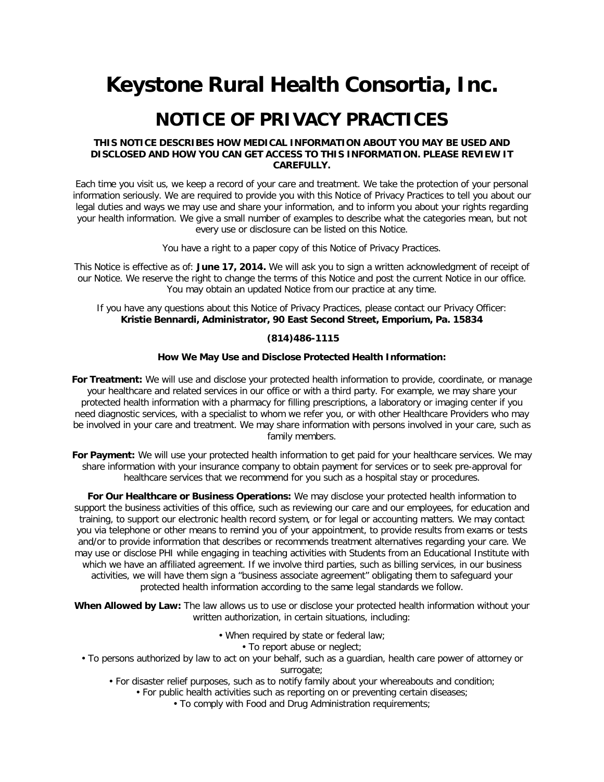# **Keystone Rural Health Consortia, Inc.**

# **NOTICE OF PRIVACY PRACTICES**

# **THIS NOTICE DESCRIBES HOW MEDICAL INFORMATION ABOUT YOU MAY BE USED AND DISCLOSED AND HOW YOU CAN GET ACCESS TO THIS INFORMATION. PLEASE REVIEW IT CAREFULLY.**

Each time you visit us, we keep a record of your care and treatment. We take the protection of your personal information seriously. We are required to provide you with this Notice of Privacy Practices to tell you about our legal duties and ways we may use and share your information, and to inform you about your rights regarding your health information. We give a small number of examples to describe what the categories mean, but not every use or disclosure can be listed on this Notice.

You have a right to a paper copy of this Notice of Privacy Practices.

This Notice is effective as of: **June 17, 2014.** We will ask you to sign a written acknowledgment of receipt of our Notice. We reserve the right to change the terms of this Notice and post the current Notice in our office. You may obtain an updated Notice from our practice at any time.

If you have any questions about this Notice of Privacy Practices, please contact our Privacy Officer: **Kristie Bennardi, Administrator, 90 East Second Street, Emporium, Pa. 15834** 

#### **(814)486-1115**

#### **How We May Use and Disclose Protected Health Information:**

**For Treatment:** We will use and disclose your protected health information to provide, coordinate, or manage your healthcare and related services in our office or with a third party. For example, we may share your protected health information with a pharmacy for filling prescriptions, a laboratory or imaging center if you need diagnostic services, with a specialist to whom we refer you, or with other Healthcare Providers who may be involved in your care and treatment. We may share information with persons involved in your care, such as family members.

For Payment: We will use your protected health information to get paid for your healthcare services. We may share information with your insurance company to obtain payment for services or to seek pre-approval for healthcare services that we recommend for you such as a hospital stay or procedures.

**For Our Healthcare or Business Operations:** We may disclose your protected health information to support the business activities of this office, such as reviewing our care and our employees, for education and training, to support our electronic health record system, or for legal or accounting matters. We may contact you via telephone or other means to remind you of your appointment, to provide results from exams or tests and/or to provide information that describes or recommends treatment alternatives regarding your care. We may use or disclose PHI while engaging in teaching activities with Students from an Educational Institute with which we have an affiliated agreement. If we involve third parties, such as billing services, in our business activities, we will have them sign a "business associate agreement" obligating them to safeguard your protected health information according to the same legal standards we follow.

**When Allowed by Law:** The law allows us to use or disclose your protected health information without your written authorization, in certain situations, including:

- When required by state or federal law;
	- To report abuse or neglect;
- To persons authorized by law to act on your behalf, such as a guardian, health care power of attorney or surrogate:
	- For disaster relief purposes, such as to notify family about your whereabouts and condition;
		- For public health activities such as reporting on or preventing certain diseases;
			- To comply with Food and Drug Administration requirements;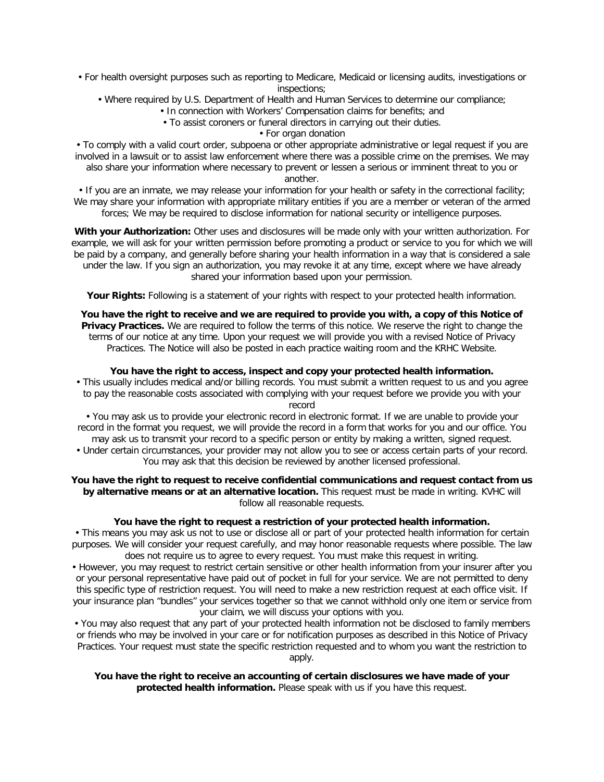- For health oversight purposes such as reporting to Medicare, Medicaid or licensing audits, investigations or inspections;
	- Where required by U.S. Department of Health and Human Services to determine our compliance;
		- In connection with Workers' Compensation claims for benefits; and
		- To assist coroners or funeral directors in carrying out their duties.
			- For organ donation

• To comply with a valid court order, subpoena or other appropriate administrative or legal request if you are involved in a lawsuit or to assist law enforcement where there was a possible crime on the premises. We may also share your information where necessary to prevent or lessen a serious or imminent threat to you or another.

• If you are an inmate, we may release your information for your health or safety in the correctional facility; We may share your information with appropriate military entities if you are a member or veteran of the armed forces; We may be required to disclose information for national security or intelligence purposes.

**With your Authorization:** Other uses and disclosures will be made only with your written authorization. For example, we will ask for your written permission before promoting a product or service to you for which we will be paid by a company, and generally before sharing your health information in a way that is considered a sale under the law. If you sign an authorization, you may revoke it at any time, except where we have already shared your information based upon your permission.

Your Rights: Following is a statement of your rights with respect to your protected health information.

**You have the right to receive and we are required to provide you with, a copy of this Notice of Privacy Practices.** We are required to follow the terms of this notice. We reserve the right to change the terms of our notice at any time. Upon your request we will provide you with a revised Notice of Privacy Practices. The Notice will also be posted in each practice waiting room and the KRHC Website.

# **You have the right to access, inspect and copy your protected health information.**

• This usually includes medical and/or billing records. You must submit a written request to us and you agree to pay the reasonable costs associated with complying with your request before we provide you with your record

• You may ask us to provide your electronic record in electronic format. If we are unable to provide your record in the format you request, we will provide the record in a form that works for you and our office. You may ask us to transmit your record to a specific person or entity by making a written, signed request.

• Under certain circumstances, your provider may not allow you to see or access certain parts of your record. You may ask that this decision be reviewed by another licensed professional.

### **You have the right to request to receive confidential communications and request contact from us by alternative means or at an alternative location.** This request must be made in writing. KVHC will follow all reasonable requests.

# **You have the right to request a restriction of your protected health information.**

• This means you may ask us not to use or disclose all or part of your protected health information for certain purposes. We will consider your request carefully, and may honor reasonable requests where possible. The law does not require us to agree to every request. You must make this request in writing.

• However, you may request to restrict certain sensitive or other health information from your insurer after you or your personal representative have paid out of pocket in full for your service. We are not permitted to deny this specific type of restriction request. You will need to make a new restriction request at each office visit. If your insurance plan "bundles" your services together so that we cannot withhold only one item or service from your claim, we will discuss your options with you.

• You may also request that any part of your protected health information not be disclosed to family members or friends who may be involved in your care or for notification purposes as described in this Notice of Privacy Practices. Your request must state the specific restriction requested and to whom you want the restriction to

apply.

# **You have the right to receive an accounting of certain disclosures we have made of your protected health information.** Please speak with us if you have this request.